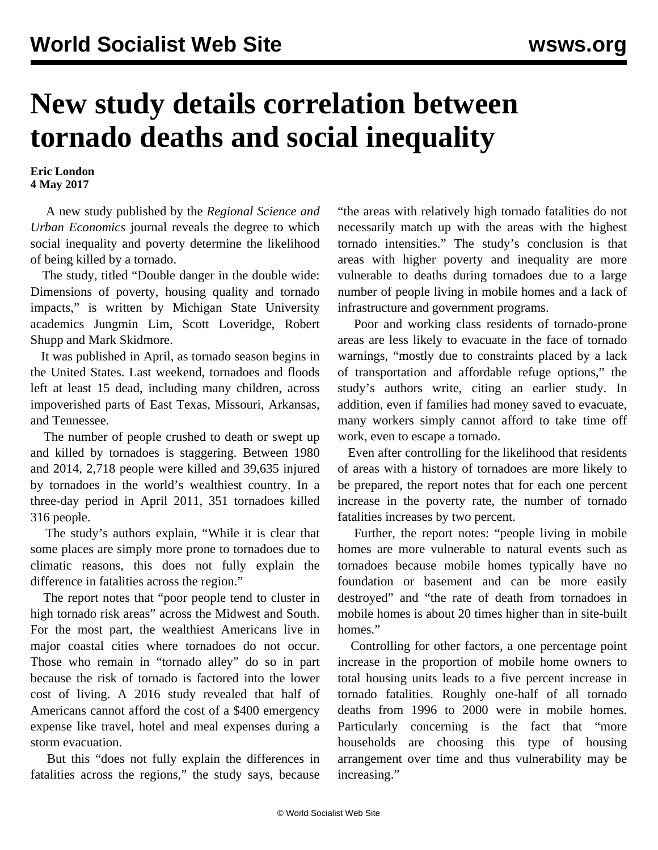## **New study details correlation between tornado deaths and social inequality**

**Eric London 4 May 2017**

 A new study published by the *Regional Science and Urban Economics* journal reveals the degree to which social inequality and poverty determine the likelihood of being killed by a tornado.

 The study, titled "Double danger in the double wide: Dimensions of poverty, housing quality and tornado impacts," is written by Michigan State University academics Jungmin Lim, Scott Loveridge, Robert Shupp and Mark Skidmore.

 It was published in April, as tornado season begins in the United States. Last weekend, tornadoes and floods left at least 15 dead, including many children, across impoverished parts of East Texas, Missouri, Arkansas, and Tennessee.

 The number of people crushed to death or swept up and killed by tornadoes is staggering. Between 1980 and 2014, 2,718 people were killed and 39,635 injured by tornadoes in the world's wealthiest country. In a three-day period in April 2011, 351 tornadoes killed 316 people.

 The study's authors explain, "While it is clear that some places are simply more prone to tornadoes due to climatic reasons, this does not fully explain the difference in fatalities across the region."

 The report notes that "poor people tend to cluster in high tornado risk areas" across the Midwest and South. For the most part, the wealthiest Americans live in major coastal cities where tornadoes do not occur. Those who remain in "tornado alley" do so in part because the risk of tornado is factored into the lower cost of living. A 2016 study revealed that half of Americans cannot afford the cost of a \$400 emergency expense like travel, hotel and meal expenses during a storm evacuation.

 But this "does not fully explain the differences in fatalities across the regions," the study says, because "the areas with relatively high tornado fatalities do not necessarily match up with the areas with the highest tornado intensities." The study's conclusion is that areas with higher poverty and inequality are more vulnerable to deaths during tornadoes due to a large number of people living in mobile homes and a lack of infrastructure and government programs.

 Poor and working class residents of tornado-prone areas are less likely to evacuate in the face of tornado warnings, "mostly due to constraints placed by a lack of transportation and affordable refuge options," the study's authors write, citing an earlier study. In addition, even if families had money saved to evacuate, many workers simply cannot afford to take time off work, even to escape a tornado.

 Even after controlling for the likelihood that residents of areas with a history of tornadoes are more likely to be prepared, the report notes that for each one percent increase in the poverty rate, the number of tornado fatalities increases by two percent.

 Further, the report notes: "people living in mobile homes are more vulnerable to natural events such as tornadoes because mobile homes typically have no foundation or basement and can be more easily destroyed" and "the rate of death from tornadoes in mobile homes is about 20 times higher than in site-built homes."

 Controlling for other factors, a one percentage point increase in the proportion of mobile home owners to total housing units leads to a five percent increase in tornado fatalities. Roughly one-half of all tornado deaths from 1996 to 2000 were in mobile homes. Particularly concerning is the fact that "more households are choosing this type of housing arrangement over time and thus vulnerability may be increasing."